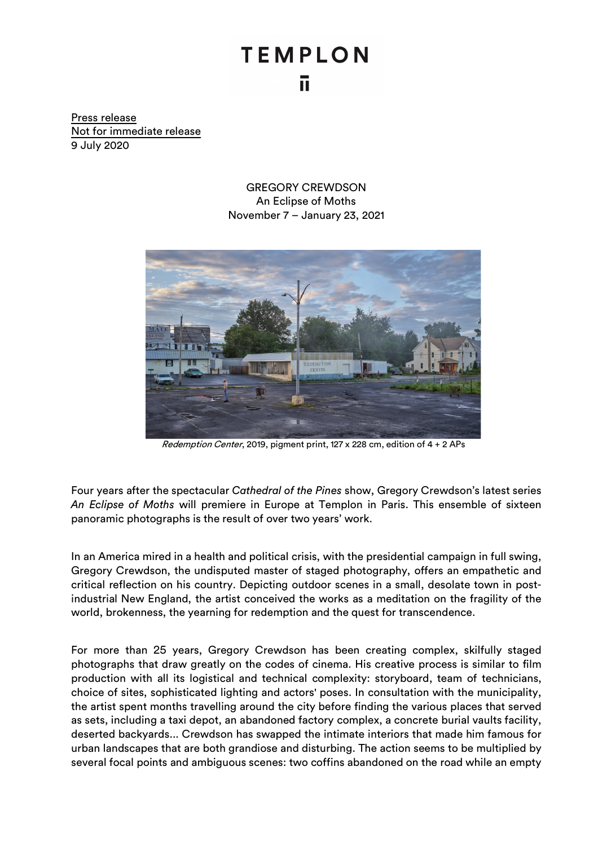## **TEMPLON** ū.

Press release Not for immediate release 9 July 2020

> GREGORY CREWDSON An Eclipse of Moths November 7 – January 23, 2021



Redemption Center, 2019, pigment print, 127 x 228 cm, edition of 4 + 2 APs

Four years after the spectacular *Cathedral of the Pines* show, Gregory Crewdson's latest series *An Eclipse of Moths* will premiere in Europe at Templon in Paris. This ensemble of sixteen panoramic photographs is the result of over two years' work.

In an America mired in a health and political crisis, with the presidential campaign in full swing, Gregory Crewdson, the undisputed master of staged photography, offers an empathetic and critical reflection on his country. Depicting outdoor scenes in a small, desolate town in postindustrial New England, the artist conceived the works as a meditation on the fragility of the world, brokenness, the yearning for redemption and the quest for transcendence.

For more than 25 years, Gregory Crewdson has been creating complex, skilfully staged photographs that draw greatly on the codes of cinema. His creative process is similar to film production with all its logistical and technical complexity: storyboard, team of technicians, choice of sites, sophisticated lighting and actors' poses. In consultation with the municipality, the artist spent months travelling around the city before finding the various places that served as sets, including a taxi depot, an abandoned factory complex, a concrete burial vaults facility, deserted backyards... Crewdson has swapped the intimate interiors that made him famous for urban landscapes that are both grandiose and disturbing. The action seems to be multiplied by several focal points and ambiguous scenes: two coffins abandoned on the road while an empty